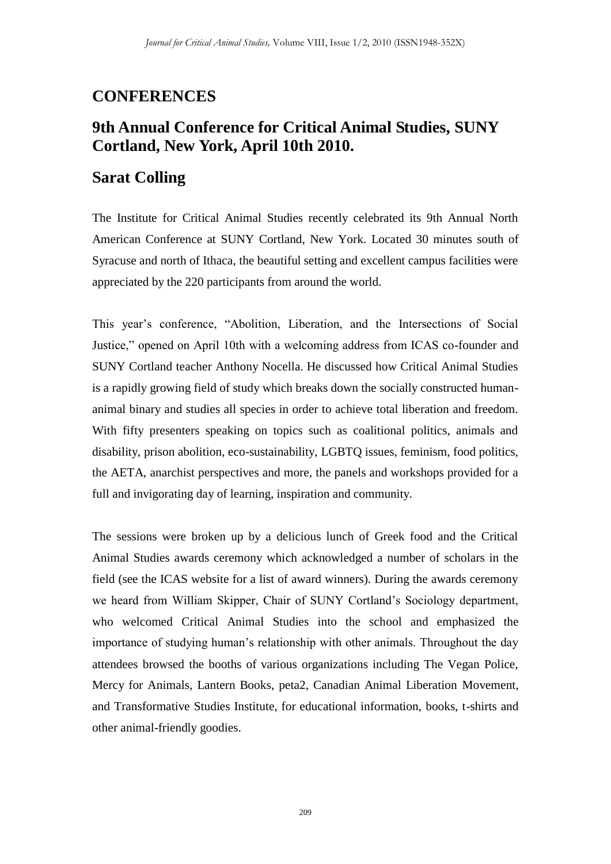## **CONFERENCES**

## **9th Annual Conference for Critical Animal Studies, SUNY Cortland, New York, April 10th 2010.**

## **Sarat Colling**

The Institute for Critical Animal Studies recently celebrated its 9th Annual North American Conference at SUNY Cortland, New York. Located 30 minutes south of Syracuse and north of Ithaca, the beautiful setting and excellent campus facilities were appreciated by the 220 participants from around the world.

This year's conference, "Abolition, Liberation, and the Intersections of Social Justice," opened on April 10th with a welcoming address from ICAS co-founder and SUNY Cortland teacher Anthony Nocella. He discussed how Critical Animal Studies is a rapidly growing field of study which breaks down the socially constructed humananimal binary and studies all species in order to achieve total liberation and freedom. With fifty presenters speaking on topics such as coalitional politics, animals and disability, prison abolition, eco-sustainability, LGBTQ issues, feminism, food politics, the AETA, anarchist perspectives and more, the panels and workshops provided for a full and invigorating day of learning, inspiration and community.

The sessions were broken up by a delicious lunch of Greek food and the Critical Animal Studies awards ceremony which acknowledged a number of scholars in the field (see the ICAS website for a list of award winners). During the awards ceremony we heard from William Skipper, Chair of SUNY Cortland's Sociology department, who welcomed Critical Animal Studies into the school and emphasized the importance of studying human's relationship with other animals. Throughout the day attendees browsed the booths of various organizations including The Vegan Police, Mercy for Animals, Lantern Books, peta2, Canadian Animal Liberation Movement, and Transformative Studies Institute, for educational information, books, t-shirts and other animal-friendly goodies.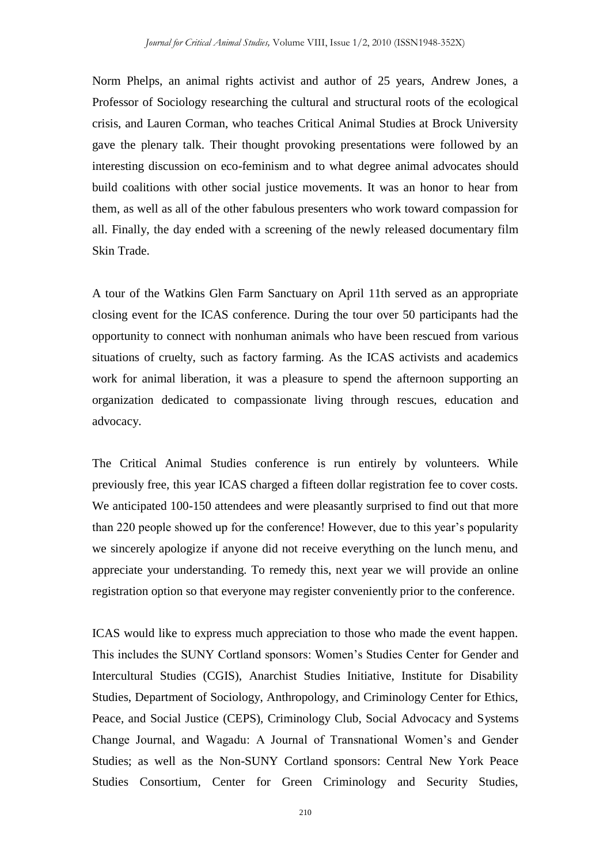Norm Phelps, an animal rights activist and author of 25 years, Andrew Jones, a Professor of Sociology researching the cultural and structural roots of the ecological crisis, and Lauren Corman, who teaches Critical Animal Studies at Brock University gave the plenary talk. Their thought provoking presentations were followed by an interesting discussion on eco-feminism and to what degree animal advocates should build coalitions with other social justice movements. It was an honor to hear from them, as well as all of the other fabulous presenters who work toward compassion for all. Finally, the day ended with a screening of the newly released documentary film Skin Trade.

A tour of the Watkins Glen Farm Sanctuary on April 11th served as an appropriate closing event for the ICAS conference. During the tour over 50 participants had the opportunity to connect with nonhuman animals who have been rescued from various situations of cruelty, such as factory farming. As the ICAS activists and academics work for animal liberation, it was a pleasure to spend the afternoon supporting an organization dedicated to compassionate living through rescues, education and advocacy.

The Critical Animal Studies conference is run entirely by volunteers. While previously free, this year ICAS charged a fifteen dollar registration fee to cover costs. We anticipated 100-150 attendees and were pleasantly surprised to find out that more than 220 people showed up for the conference! However, due to this year's popularity we sincerely apologize if anyone did not receive everything on the lunch menu, and appreciate your understanding. To remedy this, next year we will provide an online registration option so that everyone may register conveniently prior to the conference.

ICAS would like to express much appreciation to those who made the event happen. This includes the SUNY Cortland sponsors: Women's Studies Center for Gender and Intercultural Studies (CGIS), Anarchist Studies Initiative, Institute for Disability Studies, Department of Sociology, Anthropology, and Criminology Center for Ethics, Peace, and Social Justice (CEPS), Criminology Club, Social Advocacy and Systems Change Journal, and Wagadu: A Journal of Transnational Women's and Gender Studies; as well as the Non-SUNY Cortland sponsors: Central New York Peace Studies Consortium, Center for Green Criminology and Security Studies,